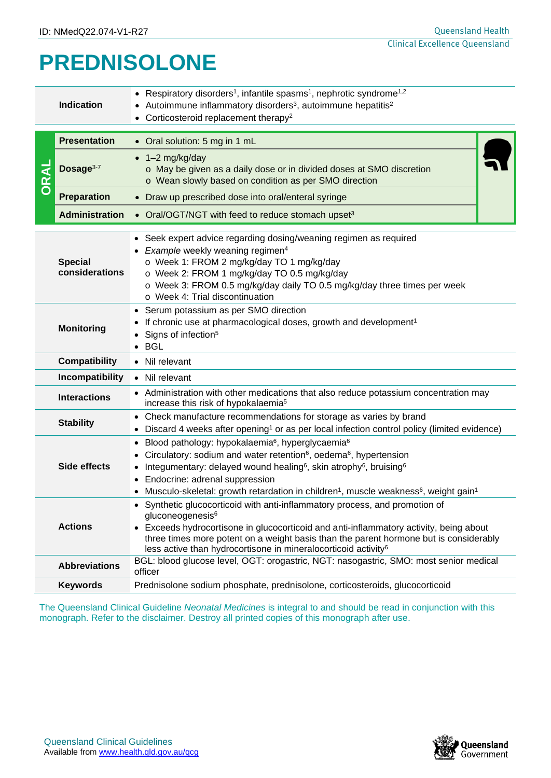## **PREDNISOLONE**

|              | <b>Indication</b>                                                                                                                                                                                              | Respiratory disorders <sup>1</sup> , infantile spasms <sup>1</sup> , nephrotic syndrome <sup>1,2</sup><br>$\bullet$<br>• Autoimmune inflammatory disorders <sup>3</sup> , autoimmune hepatitis <sup>2</sup><br>• Corticosteroid replacement therapy <sup>2</sup>                                                                                                                                                                            |  |  |  |  |
|--------------|----------------------------------------------------------------------------------------------------------------------------------------------------------------------------------------------------------------|---------------------------------------------------------------------------------------------------------------------------------------------------------------------------------------------------------------------------------------------------------------------------------------------------------------------------------------------------------------------------------------------------------------------------------------------|--|--|--|--|
| DRAL         | <b>Presentation</b>                                                                                                                                                                                            | • Oral solution: 5 mg in 1 mL                                                                                                                                                                                                                                                                                                                                                                                                               |  |  |  |  |
|              | Dosage <sup>3-7</sup>                                                                                                                                                                                          | $\bullet$ 1-2 mg/kg/day<br>o May be given as a daily dose or in divided doses at SMO discretion<br>o Wean slowly based on condition as per SMO direction                                                                                                                                                                                                                                                                                    |  |  |  |  |
|              | <b>Preparation</b>                                                                                                                                                                                             | • Draw up prescribed dose into oral/enteral syringe                                                                                                                                                                                                                                                                                                                                                                                         |  |  |  |  |
|              | <b>Administration</b>                                                                                                                                                                                          | • Oral/OGT/NGT with feed to reduce stomach upset <sup>3</sup>                                                                                                                                                                                                                                                                                                                                                                               |  |  |  |  |
|              | <b>Special</b><br>considerations                                                                                                                                                                               | • Seek expert advice regarding dosing/weaning regimen as required<br>Example weekly weaning regimen <sup>4</sup><br>o Week 1: FROM 2 mg/kg/day TO 1 mg/kg/day<br>o Week 2: FROM 1 mg/kg/day TO 0.5 mg/kg/day<br>o Week 3: FROM 0.5 mg/kg/day daily TO 0.5 mg/kg/day three times per week<br>o Week 4: Trial discontinuation                                                                                                                 |  |  |  |  |
|              | • Serum potassium as per SMO direction<br>If chronic use at pharmacological doses, growth and development <sup>1</sup><br><b>Monitoring</b><br>Signs of infection <sup>5</sup><br><b>BGL</b>                   |                                                                                                                                                                                                                                                                                                                                                                                                                                             |  |  |  |  |
|              | <b>Compatibility</b><br>• Nil relevant                                                                                                                                                                         |                                                                                                                                                                                                                                                                                                                                                                                                                                             |  |  |  |  |
|              | Incompatibility                                                                                                                                                                                                | • Nil relevant                                                                                                                                                                                                                                                                                                                                                                                                                              |  |  |  |  |
|              | <b>Interactions</b>                                                                                                                                                                                            | Administration with other medications that also reduce potassium concentration may<br>increase this risk of hypokalaemia <sup>5</sup>                                                                                                                                                                                                                                                                                                       |  |  |  |  |
|              | <b>Stability</b>                                                                                                                                                                                               | Check manufacture recommendations for storage as varies by brand<br>• Discard 4 weeks after opening <sup>1</sup> or as per local infection control policy (limited evidence)                                                                                                                                                                                                                                                                |  |  |  |  |
| Side effects |                                                                                                                                                                                                                | Blood pathology: hypokalaemia <sup>6</sup> , hyperglycaemia <sup>6</sup><br>Circulatory: sodium and water retention <sup>6</sup> , oedema <sup>6</sup> , hypertension<br>Integumentary: delayed wound healing <sup>6</sup> , skin atrophy <sup>6</sup> , bruising <sup>6</sup><br>Endocrine: adrenal suppression<br>Musculo-skeletal: growth retardation in children <sup>1</sup> , muscle weakness <sup>6</sup> , weight gain <sup>1</sup> |  |  |  |  |
|              | <b>Actions</b>                                                                                                                                                                                                 | • Synthetic glucocorticoid with anti-inflammatory process, and promotion of<br>gluconeogenesis <sup>6</sup><br>• Exceeds hydrocortisone in glucocorticoid and anti-inflammatory activity, being about<br>three times more potent on a weight basis than the parent hormone but is considerably<br>less active than hydrocortisone in mineralocorticoid activity <sup>6</sup>                                                                |  |  |  |  |
|              | <b>Abbreviations</b>                                                                                                                                                                                           | BGL: blood glucose level, OGT: orogastric, NGT: nasogastric, SMO: most senior medical<br>officer                                                                                                                                                                                                                                                                                                                                            |  |  |  |  |
|              | <b>Keywords</b>                                                                                                                                                                                                | Prednisolone sodium phosphate, prednisolone, corticosteroids, glucocorticoid                                                                                                                                                                                                                                                                                                                                                                |  |  |  |  |
|              | The Queensland Clinical Guideline Neonatal Medicines is integral to and should be read in conjunction with this<br>monograph. Refer to the disclaimer. Destroy all printed copies of this monograph after use. |                                                                                                                                                                                                                                                                                                                                                                                                                                             |  |  |  |  |